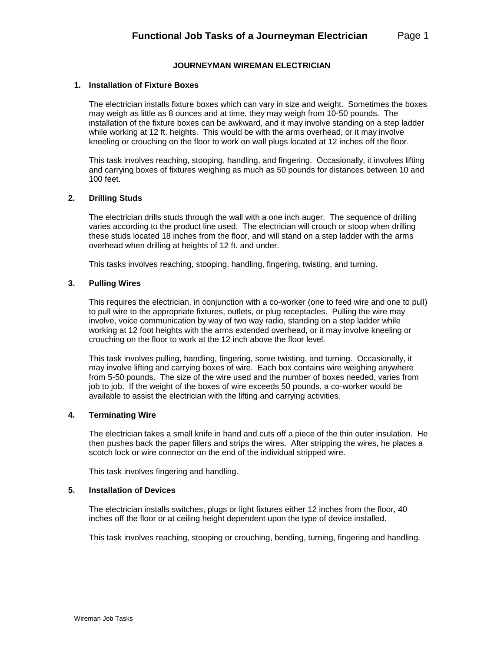# **JOURNEYMAN WIREMAN ELECTRICIAN**

## **1. Installation of Fixture Boxes**

The electrician installs fixture boxes which can vary in size and weight. Sometimes the boxes may weigh as little as 8 ounces and at time, they may weigh from 10-50 pounds. The installation of the fixture boxes can be awkward, and it may involve standing on a step ladder while working at 12 ft. heights. This would be with the arms overhead, or it may involve kneeling or crouching on the floor to work on wall plugs located at 12 inches off the floor.

This task involves reaching, stooping, handling, and fingering. Occasionally, it involves lifting and carrying boxes of fixtures weighing as much as 50 pounds for distances between 10 and 100 feet.

## **2. Drilling Studs**

The electrician drills studs through the wall with a one inch auger. The sequence of drilling varies according to the product line used. The electrician will crouch or stoop when drilling these studs located 18 inches from the floor, and will stand on a step ladder with the arms overhead when drilling at heights of 12 ft. and under.

This tasks involves reaching, stooping, handling, fingering, twisting, and turning.

## **3. Pulling Wires**

This requires the electrician, in conjunction with a co-worker (one to feed wire and one to pull) to pull wire to the appropriate fixtures, outlets, or plug receptacles. Pulling the wire may involve, voice communication by way of two way radio, standing on a step ladder while working at 12 foot heights with the arms extended overhead, or it may involve kneeling or crouching on the floor to work at the 12 inch above the floor level.

This task involves pulling, handling, fingering, some twisting, and turning. Occasionally, it may involve lifting and carrying boxes of wire. Each box contains wire weighing anywhere from 5-50 pounds. The size of the wire used and the number of boxes needed, varies from job to job. If the weight of the boxes of wire exceeds 50 pounds, a co-worker would be available to assist the electrician with the lifting and carrying activities.

#### **4. Terminating Wire**

The electrician takes a small knife in hand and cuts off a piece of the thin outer insulation. He then pushes back the paper fillers and strips the wires. After stripping the wires, he places a scotch lock or wire connector on the end of the individual stripped wire.

This task involves fingering and handling.

# **5. Installation of Devices**

The electrician installs switches, plugs or light fixtures either 12 inches from the floor, 40 inches off the floor or at ceiling height dependent upon the type of device installed.

This task involves reaching, stooping or crouching, bending, turning, fingering and handling.